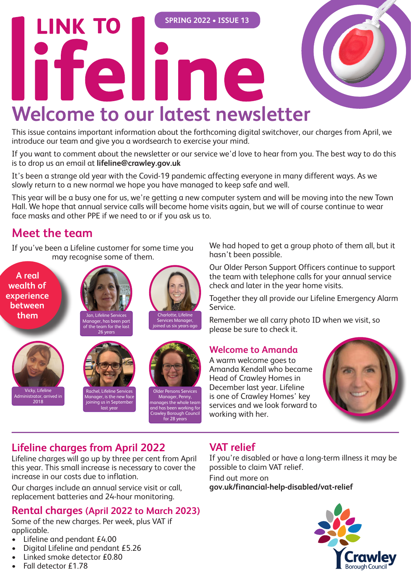# **SPRING 2022 • ISSUE 13 LINK TO** lifeline **Welcome to our latest newsletter**

This issue contains important information about the forthcoming digital switchover, our charges from April, we introduce our team and give you a wordsearch to exercise your mind.

If you want to comment about the newsletter or our service we'd love to hear from you. The best way to do this is to drop us an email at **lifeline@crawley.gov.uk**

It's been a strange old year with the Covid-19 pandemic affecting everyone in many different ways. As we slowly return to a new normal we hope you have managed to keep safe and well.

This year will be a busy one for us, we're getting a new computer system and will be moving into the new Town Hall. We hope that annual service calls will become home visits again, but we will of course continue to wear face masks and other PPE if we need to or if you ask us to.

## **Meet the team**

If you've been a Lifeline customer for some time you may recognise some of them.

**A real wealth of experience between them**

> Vicky, Lifeline Administrator, arrived in 2018



Rachel, Lifeline Services Manager, is the new face joining us in September last year



Charlotte, Lifeline Services Manager, joined us six years ago

Older Persons Services Manager, Penny, manages the whole team and has been working for Crawley Borough Council for 28 years

We had hoped to get a group photo of them all, but it hasn't been possible.

Our Older Person Support Officers continue to support the team with telephone calls for your annual service check and later in the year home visits.

Together they all provide our Lifeline Emergency Alarm Service.

Remember we all carry photo ID when we visit, so please be sure to check it.

### **Welcome to Amanda**

A warm welcome goes to Amanda Kendall who became Head of Crawley Homes in December last year. Lifeline is one of Crawley Homes' key services and we look forward to working with her.



## **Lifeline charges from April 2022**

Lifeline charges will go up by three per cent from April this year. This small increase is necessary to cover the increase in our costs due to inflation.

Our charges include an annual service visit or call, replacement batteries and 24-hour monitoring.

## **Rental charges (April 2022 to March 2023)**

Some of the new charges. Per week, plus VAT if applicable.

- Lifeline and pendant £4.00
- Digital Lifeline and pendant £5.26
- Linked smoke detector £0.80
- Fall detector £1.78

## **VAT relief**

If you're disabled or have a long-term illness it may be possible to claim VAT relief.

Find out more on **gov.uk/financial-help-disabled/vat-relief**

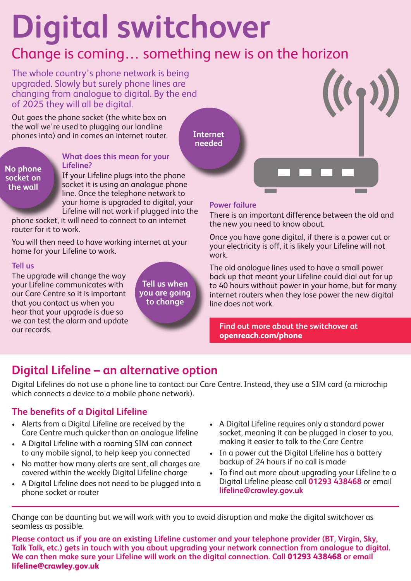# **Digital switchover**

## Change is coming… something new is on the horizon

The whole country's phone network is being upgraded. Slowly but surely phone lines are changing from analogue to digital. By the end of 2025 they will all be digital.

Out goes the phone socket (the white box on the wall we're used to plugging our landline phones into) and in comes an internet router.

**Internet needed**

#### **No phone socket on the wall**

#### **What does this mean for your Lifeline?**

If your Lifeline plugs into the phone socket it is using an analogue phone line. Once the telephone network to your home is upgraded to digital, your Lifeline will not work if plugged into the

phone socket, it will need to connect to an internet router for it to work.

You will then need to have working internet at your home for your Lifeline to work.

#### **Tell us**

The upgrade will change the way your Lifeline communicates with our Care Centre so it is important that you contact us when you hear that your upgrade is due so we can test the alarm and update our records.

**Tell us when you are going to change** 

#### **Power failure**

There is an important difference between the old and the new you need to know about.

Once you have gone digital, if there is a power cut or your electricity is off, it is likely your Lifeline will not work.

The old analogue lines used to have a small power back up that meant your Lifeline could dial out for up to 40 hours without power in your home, but for many internet routers when they lose power the new digital line does not work.

**Find out more about the switchover at openreach.com/phone**

## **Digital Lifeline – an alternative option**

Digital Lifelines do not use a phone line to contact our Care Centre. Instead, they use a SIM card (a microchip which connects a device to a mobile phone network).

### **The benefits of a Digital Lifeline**

- Alerts from a Digital Lifeline are received by the Care Centre much quicker than an analogue lifeline
- A Digital Lifeline with a roaming SIM can connect to any mobile signal, to help keep you connected
- No matter how many alerts are sent, all charges are covered within the weekly Digital Lifeline charge
- A Digital Lifeline does not need to be plugged into a phone socket or router
- A Digital Lifeline requires only a standard power socket, meaning it can be plugged in closer to you, making it easier to talk to the Care Centre
- In a power cut the Digital Lifeline has a battery backup of 24 hours if no call is made
- To find out more about upgrading your Lifeline to a Digital Lifeline please call **01293 438468** or email **lifeline@crawley.gov.uk**

Change can be daunting but we will work with you to avoid disruption and make the digital switchover as seamless as possible.

**Please contact us if you are an existing Lifeline customer and your telephone provider (BT, Virgin, Sky, Talk Talk, etc.) gets in touch with you about upgrading your network connection from analogue to digital. We can then make sure your Lifeline will work on the digital connection. Call 01293 438468 or email lifeline@crawley.gov.uk**

•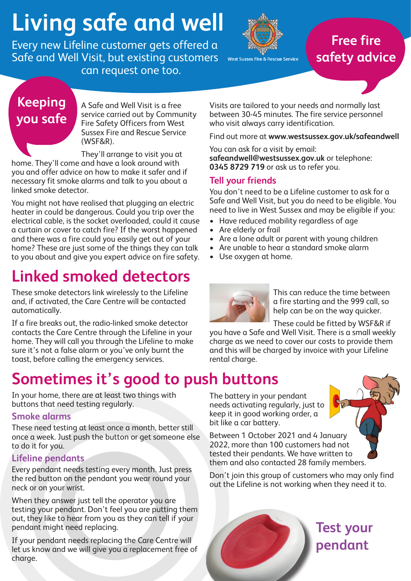# **Living safe and well**

Every new Lifeline customer gets offered a Safe and Well Visit, but existing customers can request one too.



West Sussex Fire & Rescue Service

## **Free fire safety advice**

## **Keeping you safe**

A Safe and Well Visit is a free service carried out by Community Fire Safety Officers from West Sussex Fire and Rescue Service (WSF&R).

They'll arrange to visit you at home. They'll come and have a look around with you and offer advice on how to make it safer and if necessary fit smoke alarms and talk to you about a linked smoke detector.

You might not have realised that plugging an electric heater in could be dangerous. Could you trip over the electrical cable, is the socket overloaded, could it cause a curtain or cover to catch fire? If the worst happened and there was a fire could you easily get out of your home? These are just some of the things they can talk to you about and give you expert advice on fire safety.

# **Linked smoked detectors**

These smoke detectors link wirelessly to the Lifeline and, if activated, the Care Centre will be contacted automatically.

If a fire breaks out, the radio-linked smoke detector contacts the Care Centre through the Lifeline in your home. They will call you through the Lifeline to make sure it's not a false alarm or you've only burnt the toast, before calling the emergency services.

# **Sometimes it's good to push buttons**

In your home, there are at least two things with buttons that need testing regularly.

#### **Smoke alarms**

These need testing at least once a month, better still once a week. Just push the button or get someone else to do it for you.

### **Lifeline pendants**

Every pendant needs testing every month. Just press the red button on the pendant you wear round your neck or on your wrist.

When they answer just tell the operator you are testing your pendant. Don't feel you are putting them out, they like to hear from you as they can tell if your pendant might need replacing.

If your pendant needs replacing the Care Centre will let us know and we will give you a replacement free of charge.

Visits are tailored to your needs and normally last between 30-45 minutes. The fire service personnel who visit always carry identification.

Find out more at **www.westsussex.gov.uk/safeandwell**

You can ask for a visit by email: **safeandwell@westsussex.gov.uk** or telephone: **0345 8729 719** or ask us to refer you.

### **Tell your friends**

You don't need to be a Lifeline customer to ask for a Safe and Well Visit, but you do need to be eligible. You need to live in West Sussex and may be eligible if you:

- Have reduced mobility regardless of age
- Are elderly or frail
- Are a lone adult or parent with young children
- Are unable to hear a standard smoke alarm
- Use oxygen at home.

The battery in your pendant

bit like a car battery.

keep it in good working order, a



This can reduce the time between a fire starting and the 999 call, so help can be on the way quicker.

These could be fitted by WSF&R if

you have a Safe and Well Visit. There is a small weekly charge as we need to cover our costs to provide them and this will be charged by invoice with your Lifeline rental charge.



Between 1 October 2021 and 4 January 2022, more than 100 customers had not tested their pendants. We have written to them and also contacted 28 family members.

Don't join this group of customers who may only find out the Lifeline is not working when they need it to.